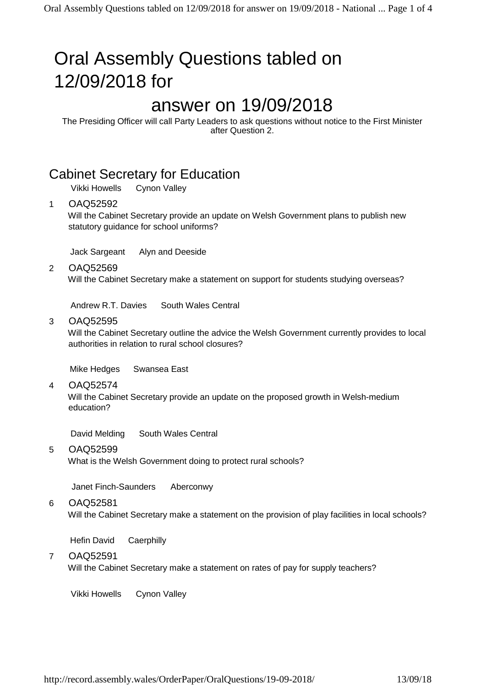# Oral Assembly Questions tabled on 12/09/2018 for

## answer on 19/09/2018

The Presiding Officer will call Party Leaders to ask questions without notice to the First Minister after Question 2.

### Cabinet Secretary for Education

Vikki Howells Cynon Valley

#### 1 OAQ52592

Will the Cabinet Secretary provide an update on Welsh Government plans to publish new statutory guidance for school uniforms?

Jack Sargeant Alyn and Deeside

2 OAQ52569

Will the Cabinet Secretary make a statement on support for students studying overseas?

Andrew R.T. Davies South Wales Central

#### 3 OAQ52595

Will the Cabinet Secretary outline the advice the Welsh Government currently provides to local authorities in relation to rural school closures?

Mike Hedges Swansea East

#### 4 OAQ52574

Will the Cabinet Secretary provide an update on the proposed growth in Welsh-medium education?

David Melding South Wales Central

#### 5 OAQ52599

What is the Welsh Government doing to protect rural schools?

Janet Finch-Saunders Aberconwy

#### 6 OAQ52581

Will the Cabinet Secretary make a statement on the provision of play facilities in local schools?

Hefin David Caerphilly

#### 7 OAQ52591

Will the Cabinet Secretary make a statement on rates of pay for supply teachers?

Vikki Howells Cynon Valley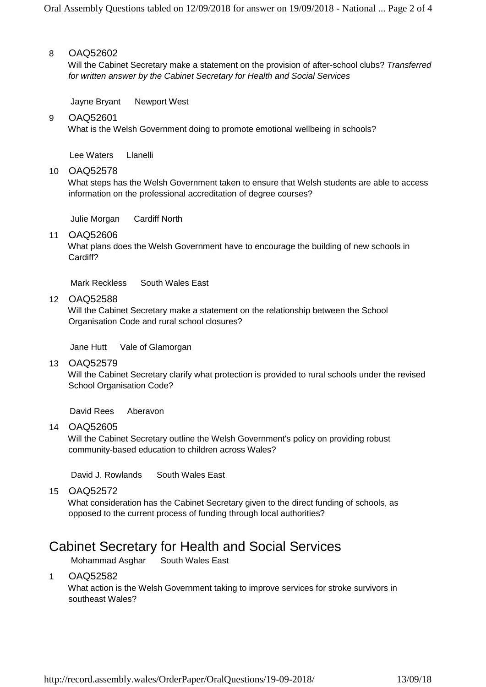#### 8 OAQ52602

Will the Cabinet Secretary make a statement on the provision of after-school clubs? *Transferred for written answer by the Cabinet Secretary for Health and Social Services*

Jayne Bryant Newport West

#### 9 OAQ52601

What is the Welsh Government doing to promote emotional wellbeing in schools?

Lee Waters Llanelli

#### 10 OAQ52578

What steps has the Welsh Government taken to ensure that Welsh students are able to access information on the professional accreditation of degree courses?

Julie Morgan Cardiff North

#### 11 OAQ52606

What plans does the Welsh Government have to encourage the building of new schools in Cardiff?

Mark Reckless South Wales East

#### 12 OAQ52588

Will the Cabinet Secretary make a statement on the relationship between the School Organisation Code and rural school closures?

Jane Hutt Vale of Glamorgan

#### 13 OAQ52579

Will the Cabinet Secretary clarify what protection is provided to rural schools under the revised School Organisation Code?

David Rees Aberavon

14 OAQ52605

Will the Cabinet Secretary outline the Welsh Government's policy on providing robust community-based education to children across Wales?

David J. Rowlands South Wales East

15 OAQ52572

What consideration has the Cabinet Secretary given to the direct funding of schools, as opposed to the current process of funding through local authorities?

## Cabinet Secretary for Health and Social Services

Mohammad Asghar South Wales East

#### 1 OAQ52582

What action is the Welsh Government taking to improve services for stroke survivors in southeast Wales?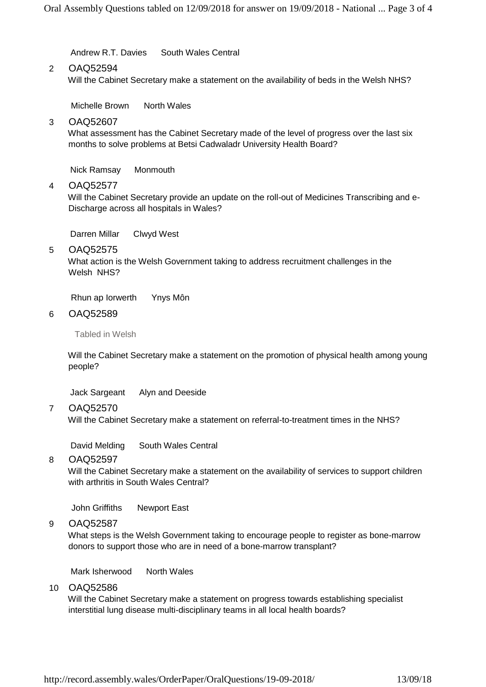Andrew R.T. Davies South Wales Central

#### 2 OAQ52594

Will the Cabinet Secretary make a statement on the availability of beds in the Welsh NHS?

Michelle Brown North Wales

3 OAQ52607

What assessment has the Cabinet Secretary made of the level of progress over the last six months to solve problems at Betsi Cadwaladr University Health Board?

Nick Ramsay Monmouth

4 OAQ52577

Will the Cabinet Secretary provide an update on the roll-out of Medicines Transcribing and e-Discharge across all hospitals in Wales?

Darren Millar Clwyd West

5 OAQ52575

What action is the Welsh Government taking to address recruitment challenges in the Welsh NHS?

Rhun ap Iorwerth Ynys Môn

#### 6 OAQ52589

Tabled in Welsh

Will the Cabinet Secretary make a statement on the promotion of physical health among young people?

Jack Sargeant Alyn and Deeside

7 OAQ52570

Will the Cabinet Secretary make a statement on referral-to-treatment times in the NHS?

David Melding South Wales Central

#### 8 OAQ52597

Will the Cabinet Secretary make a statement on the availability of services to support children with arthritis in South Wales Central?

John Griffiths Newport East

9 OAQ52587

What steps is the Welsh Government taking to encourage people to register as bone-marrow donors to support those who are in need of a bone-marrow transplant?

Mark Isherwood North Wales

10 OAQ52586

Will the Cabinet Secretary make a statement on progress towards establishing specialist interstitial lung disease multi-disciplinary teams in all local health boards?